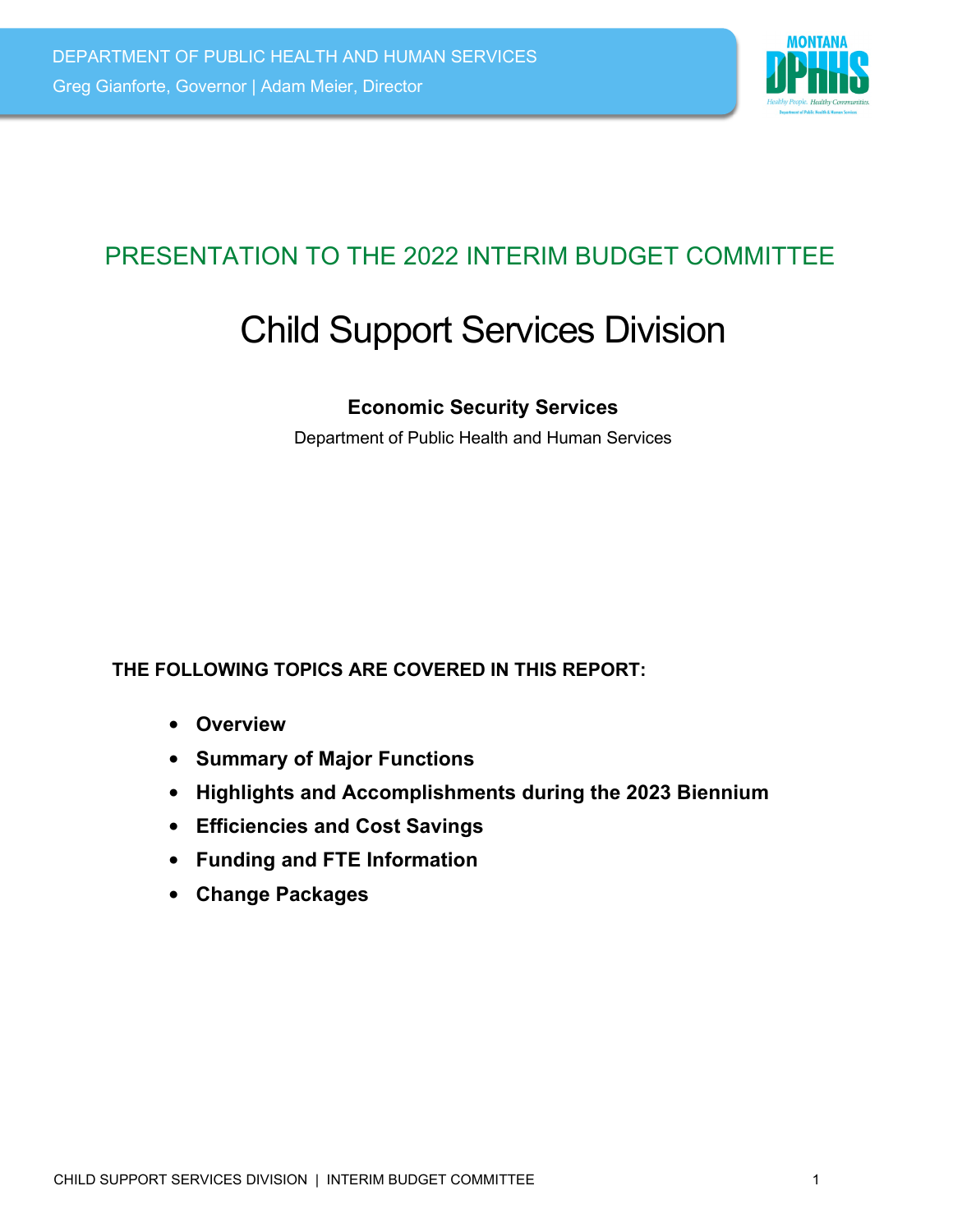

# PRESENTATION TO THE 2022 INTERIM BUDGET COMMITTEE

# Child Support Services Division

#### **Economic Security Services**

Department of Public Health and Human Services

#### **THE FOLLOWING TOPICS ARE COVERED IN THIS REPORT:**

- **Overview**
- **Summary of Major Functions**
- **Highlights and Accomplishments during the 2023 Biennium**
- **Efficiencies and Cost Savings**
- **Funding and FTE Information**
- **Change Packages**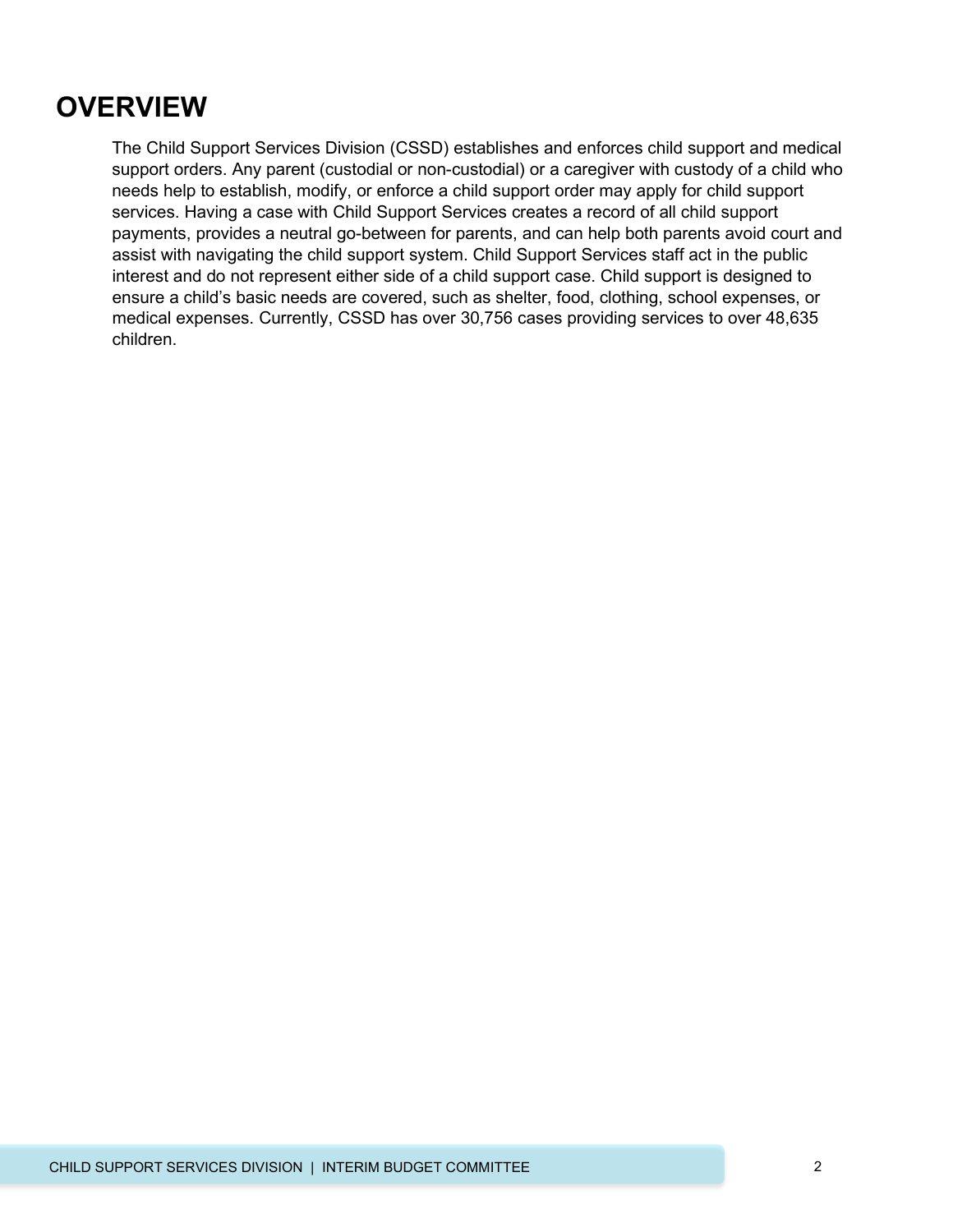# **OVERVIEW**

The Child Support Services Division (CSSD) establishes and enforces child support and medical support orders. Any parent (custodial or non-custodial) or a caregiver with custody of a child who needs help to establish, modify, or enforce a child support order may apply for child support services. Having a case with Child Support Services creates a record of all child support payments, provides a neutral go-between for parents, and can help both parents avoid court and assist with navigating the child support system. Child Support Services staff act in the public interest and do not represent either side of a child support case. Child support is designed to ensure a child's basic needs are covered, such as shelter, food, clothing, school expenses, or medical expenses. Currently, CSSD has over 30,756 cases providing services to over 48,635 children.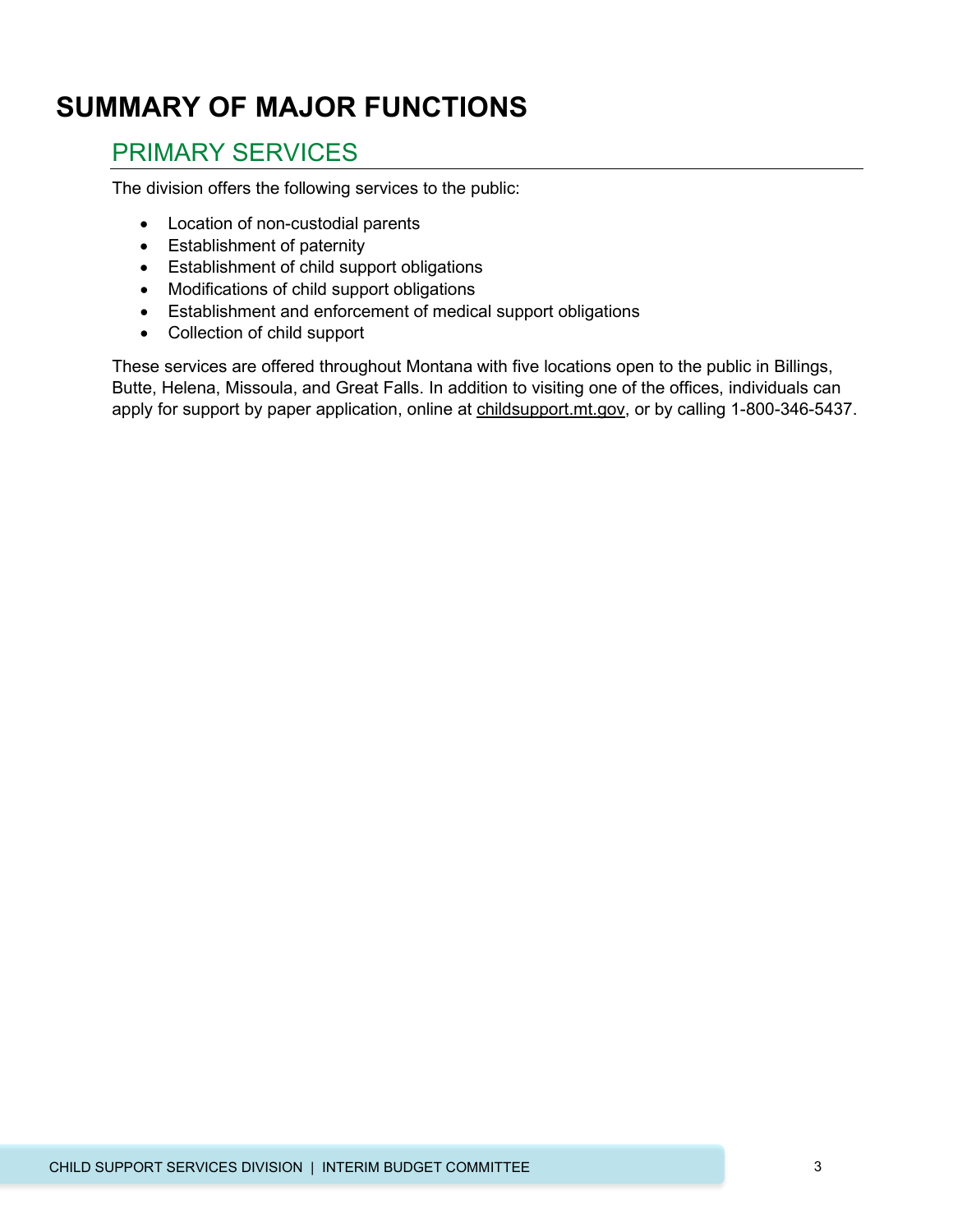# **SUMMARY OF MAJOR FUNCTIONS**

### PRIMARY SERVICES

The division offers the following services to the public:

- Location of non-custodial parents
- Establishment of paternity
- Establishment of child support obligations
- Modifications of child support obligations
- Establishment and enforcement of medical support obligations
- Collection of child support

These services are offered throughout Montana with five locations open to the public in Billings, Butte, Helena, Missoula, and Great Falls. In addition to visiting one of the offices, individuals can apply for support by paper application, online at childsupport.mt.gov, or by calling 1-800-346-5437.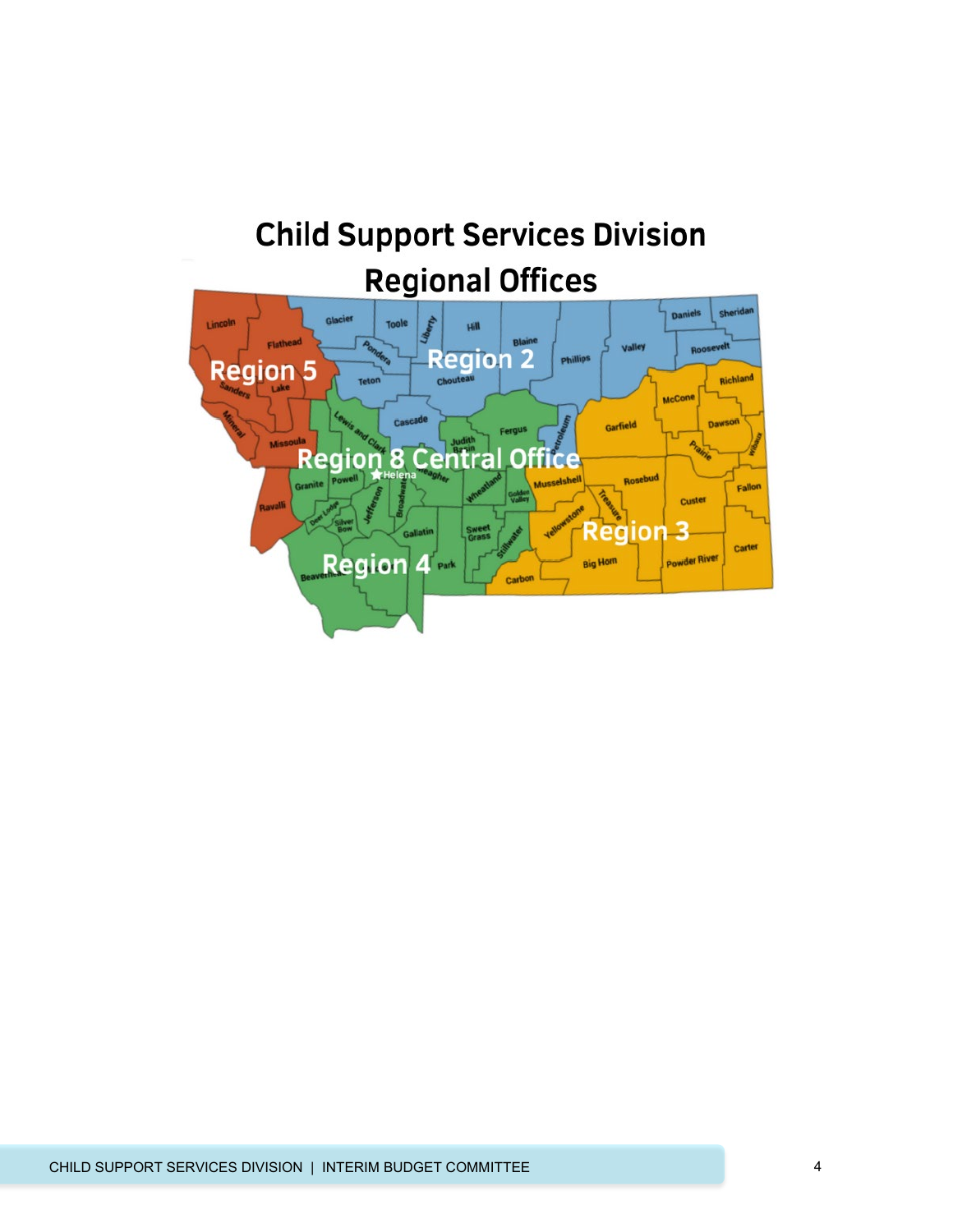# **Child Support Services Division Regional Offices**

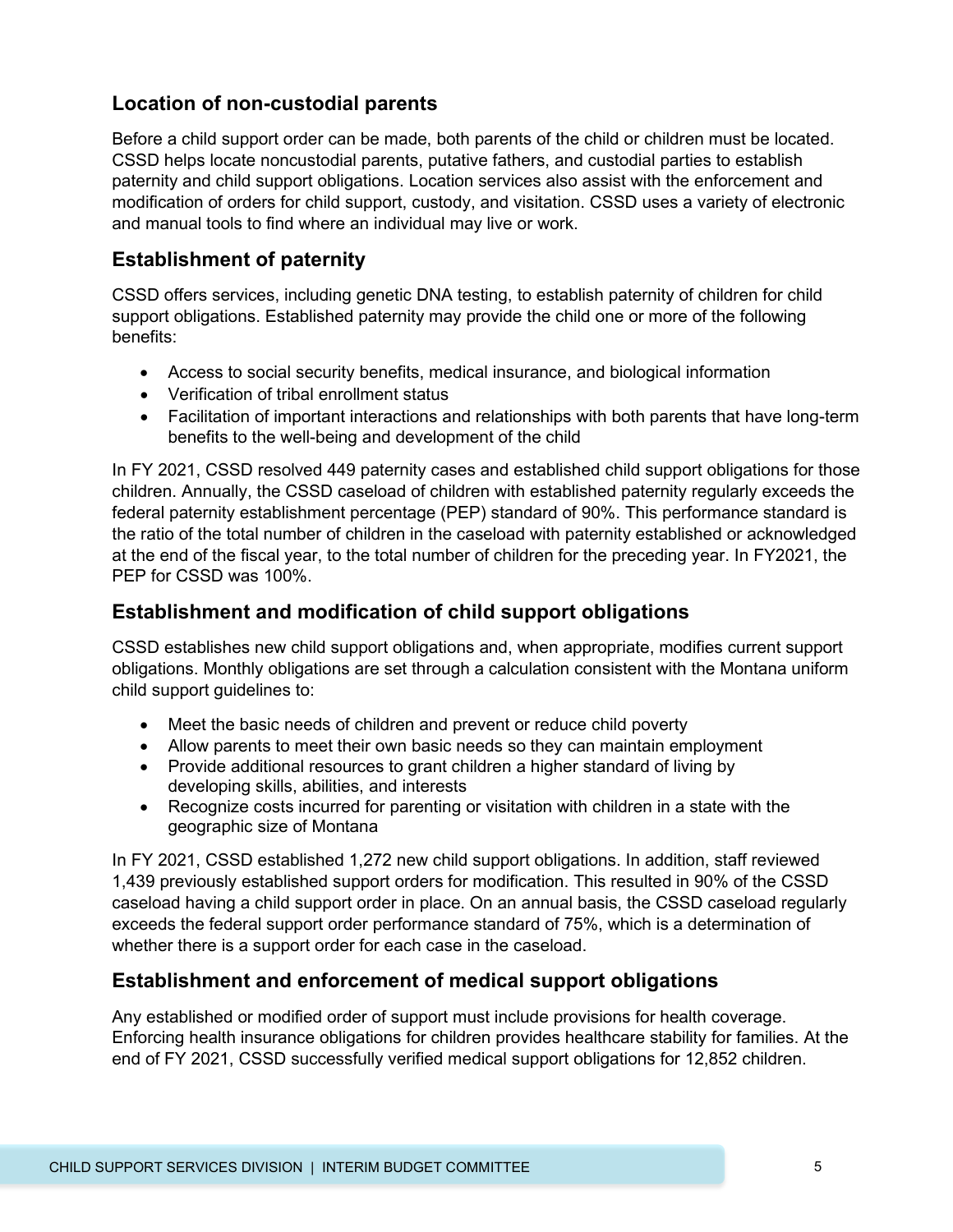#### **Location of non-custodial parents**

Before a child support order can be made, both parents of the child or children must be located. CSSD helps locate noncustodial parents, putative fathers, and custodial parties to establish paternity and child support obligations. Location services also assist with the enforcement and modification of orders for child support, custody, and visitation. CSSD uses a variety of electronic and manual tools to find where an individual may live or work.

#### **Establishment of paternity**

CSSD offers services, including genetic DNA testing, to establish paternity of children for child support obligations. Established paternity may provide the child one or more of the following benefits:

- Access to social security benefits, medical insurance, and biological information
- Verification of tribal enrollment status
- Facilitation of important interactions and relationships with both parents that have long-term benefits to the well-being and development of the child

In FY 2021, CSSD resolved 449 paternity cases and established child support obligations for those children. Annually, the CSSD caseload of children with established paternity regularly exceeds the federal paternity establishment percentage (PEP) standard of 90%. This performance standard is the ratio of the total number of children in the caseload with paternity established or acknowledged at the end of the fiscal year, to the total number of children for the preceding year. In FY2021, the PEP for CSSD was 100%.

#### **Establishment and modification of child support obligations**

CSSD establishes new child support obligations and, when appropriate, modifies current support obligations. Monthly obligations are set through a calculation consistent with the Montana uniform child support guidelines to:

- Meet the basic needs of children and prevent or reduce child poverty
- Allow parents to meet their own basic needs so they can maintain employment
- Provide additional resources to grant children a higher standard of living by developing skills, abilities, and interests
- Recognize costs incurred for parenting or visitation with children in a state with the geographic size of Montana

In FY 2021, CSSD established 1,272 new child support obligations. In addition, staff reviewed 1,439 previously established support orders for modification. This resulted in 90% of the CSSD caseload having a child support order in place. On an annual basis, the CSSD caseload regularly exceeds the federal support order performance standard of 75%, which is a determination of whether there is a support order for each case in the caseload.

#### **Establishment and enforcement of medical support obligations**

Any established or modified order of support must include provisions for health coverage. Enforcing health insurance obligations for children provides healthcare stability for families. At the end of FY 2021, CSSD successfully verified medical support obligations for 12,852 children.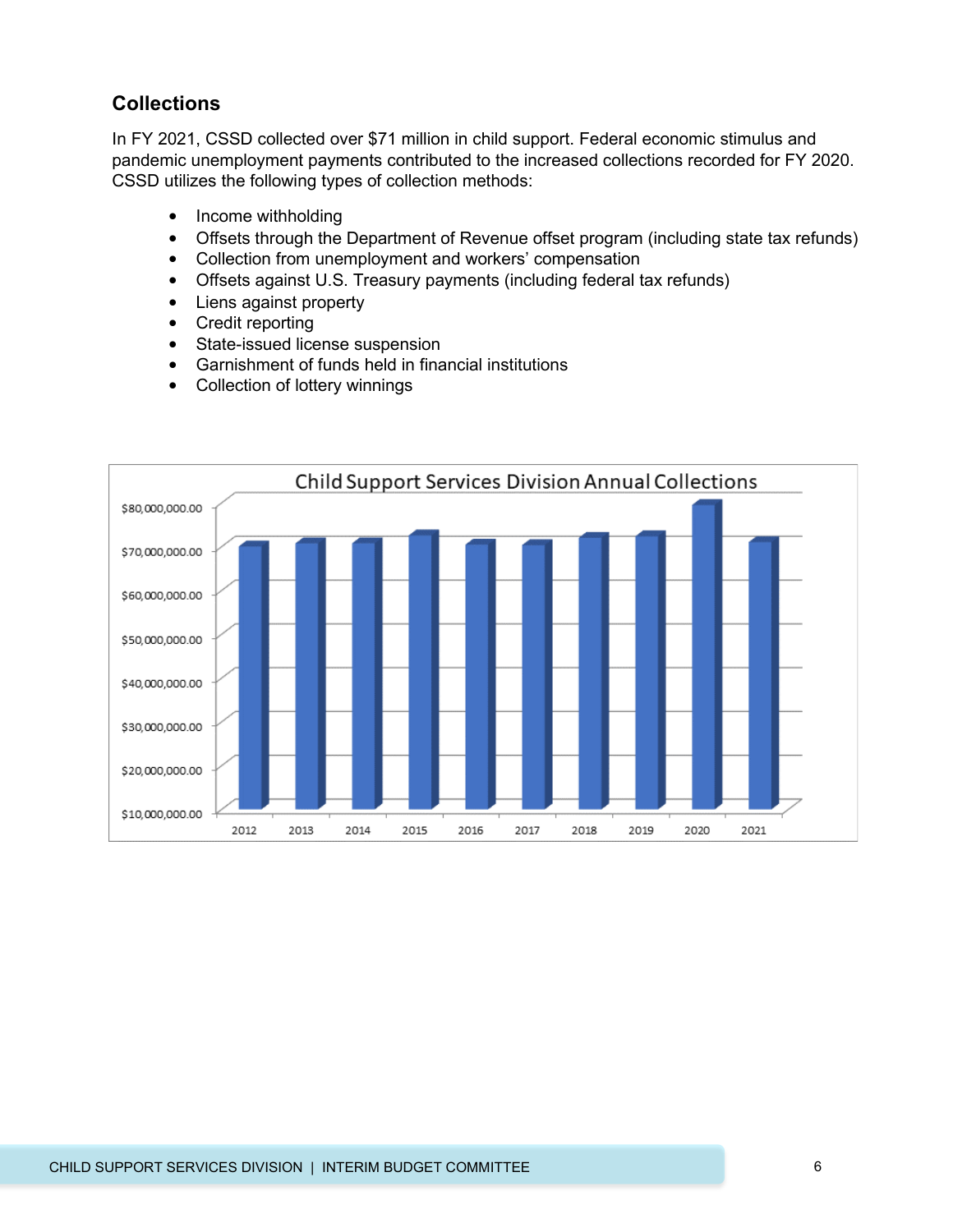#### **Collections**

In FY 2021, CSSD collected over \$71 million in child support. Federal economic stimulus and pandemic unemployment payments contributed to the increased collections recorded for FY 2020. CSSD utilizes the following types of collection methods:

- Income withholding
- Offsets through the Department of Revenue offset program (including state tax refunds)
- Collection from unemployment and workers' compensation
- Offsets against U.S. Treasury payments (including federal tax refunds)
- Liens against property
- Credit reporting
- State-issued license suspension
- Garnishment of funds held in financial institutions
- Collection of lottery winnings

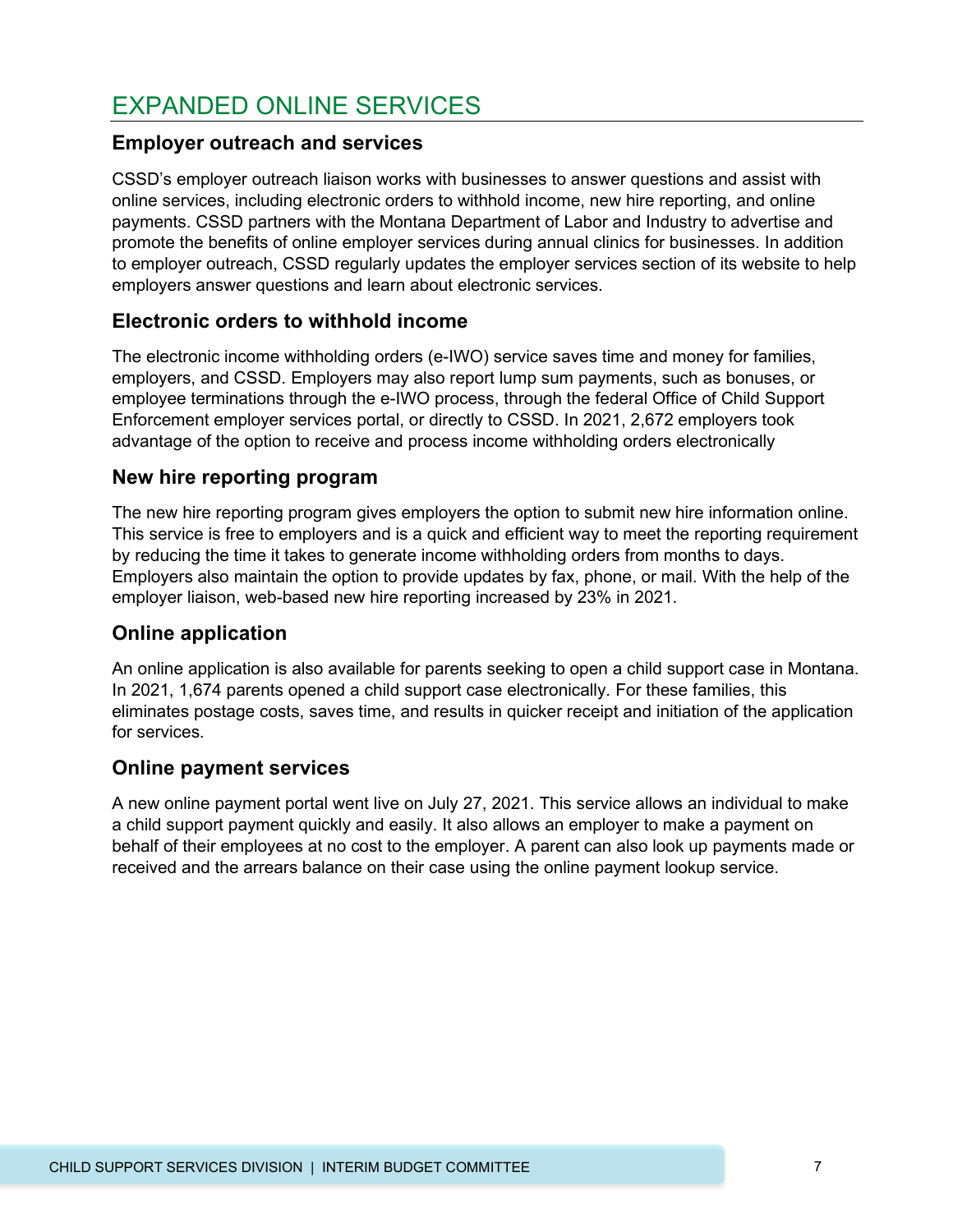### EXPANDED ONLINE SERVICES

#### **Employer outreach and services**

CSSD's employer outreach liaison works with businesses to answer questions and assist with online services, including electronic orders to withhold income, new hire reporting, and online payments. CSSD partners with the Montana Department of Labor and Industry to advertise and promote the benefits of online employer services during annual clinics for businesses. In addition to employer outreach, CSSD regularly updates the employer services section of its website to help employers answer questions and learn about electronic services.

#### **Electronic orders to withhold income**

The electronic income withholding orders (e-IWO) service saves time and money for families, employers, and CSSD. Employers may also report lump sum payments, such as bonuses, or employee terminations through the e-IWO process, through the federal Office of Child Support Enforcement employer services portal, or directly to CSSD. In 2021, 2,672 employers took advantage of the option to receive and process income withholding orders electronically

#### **New hire reporting program**

The new hire reporting program gives employers the option to submit new hire information online. This service is free to employers and is a quick and efficient way to meet the reporting requirement by reducing the time it takes to generate income withholding orders from months to days. Employers also maintain the option to provide updates by fax, phone, or mail. With the help of the employer liaison, web-based new hire reporting increased by 23% in 2021.

#### **Online application**

An online application is also available for parents seeking to open a child support case in Montana. In 2021, 1,674 parents opened a child support case electronically. For these families, this eliminates postage costs, saves time, and results in quicker receipt and initiation of the application for services.

#### **Online payment services**

A new online payment portal went live on July 27, 2021. This service allows an individual to make a child support payment quickly and easily. It also allows an employer to make a payment on behalf of their employees at no cost to the employer. A parent can also look up payments made or received and the arrears balance on their case using the online payment lookup service.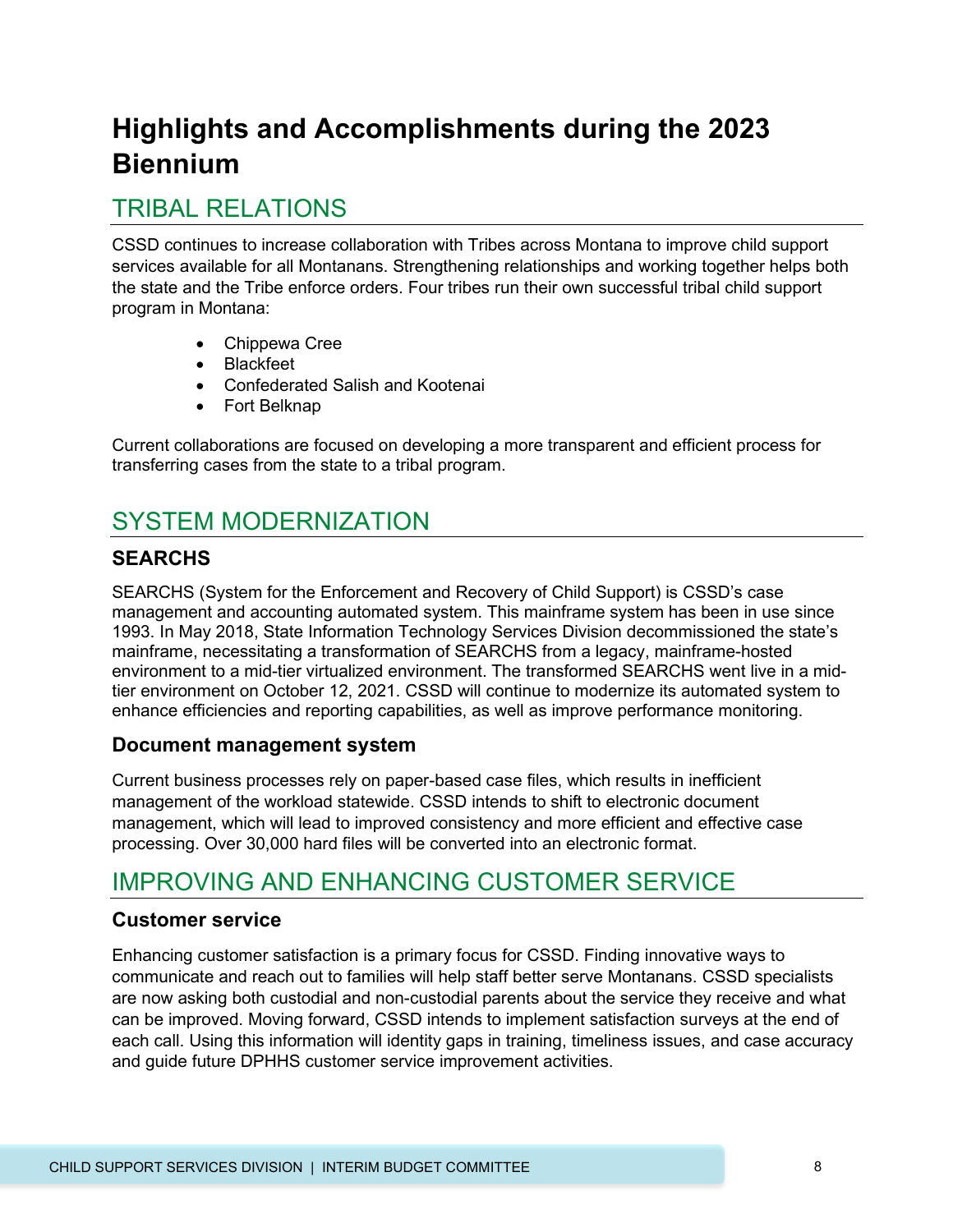# **Highlights and Accomplishments during the 2023 Biennium**

### TRIBAL RELATIONS

CSSD continues to increase collaboration with Tribes across Montana to improve child support services available for all Montanans. Strengthening relationships and working together helps both the state and the Tribe enforce orders. Four tribes run their own successful tribal child support program in Montana:

- Chippewa Cree
- Blackfeet
- Confederated Salish and Kootenai
- Fort Belknap

Current collaborations are focused on developing a more transparent and efficient process for transferring cases from the state to a tribal program.

## SYSTEM MODERNIZATION

#### **SEARCHS**

SEARCHS (System for the Enforcement and Recovery of Child Support) is CSSD's case management and accounting automated system. This mainframe system has been in use since 1993. In May 2018, State Information Technology Services Division decommissioned the state's mainframe, necessitating a transformation of SEARCHS from a legacy, mainframe-hosted environment to a mid-tier virtualized environment. The transformed SEARCHS went live in a midtier environment on October 12, 2021. CSSD will continue to modernize its automated system to enhance efficiencies and reporting capabilities, as well as improve performance monitoring.

#### **Document management system**

Current business processes rely on paper-based case files, which results in inefficient management of the workload statewide. CSSD intends to shift to electronic document management, which will lead to improved consistency and more efficient and effective case processing. Over 30,000 hard files will be converted into an electronic format.

### IMPROVING AND ENHANCING CUSTOMER SERVICE

#### **Customer service**

Enhancing customer satisfaction is a primary focus for CSSD. Finding innovative ways to communicate and reach out to families will help staff better serve Montanans. CSSD specialists are now asking both custodial and non-custodial parents about the service they receive and what can be improved. Moving forward, CSSD intends to implement satisfaction surveys at the end of each call. Using this information will identity gaps in training, timeliness issues, and case accuracy and guide future DPHHS customer service improvement activities.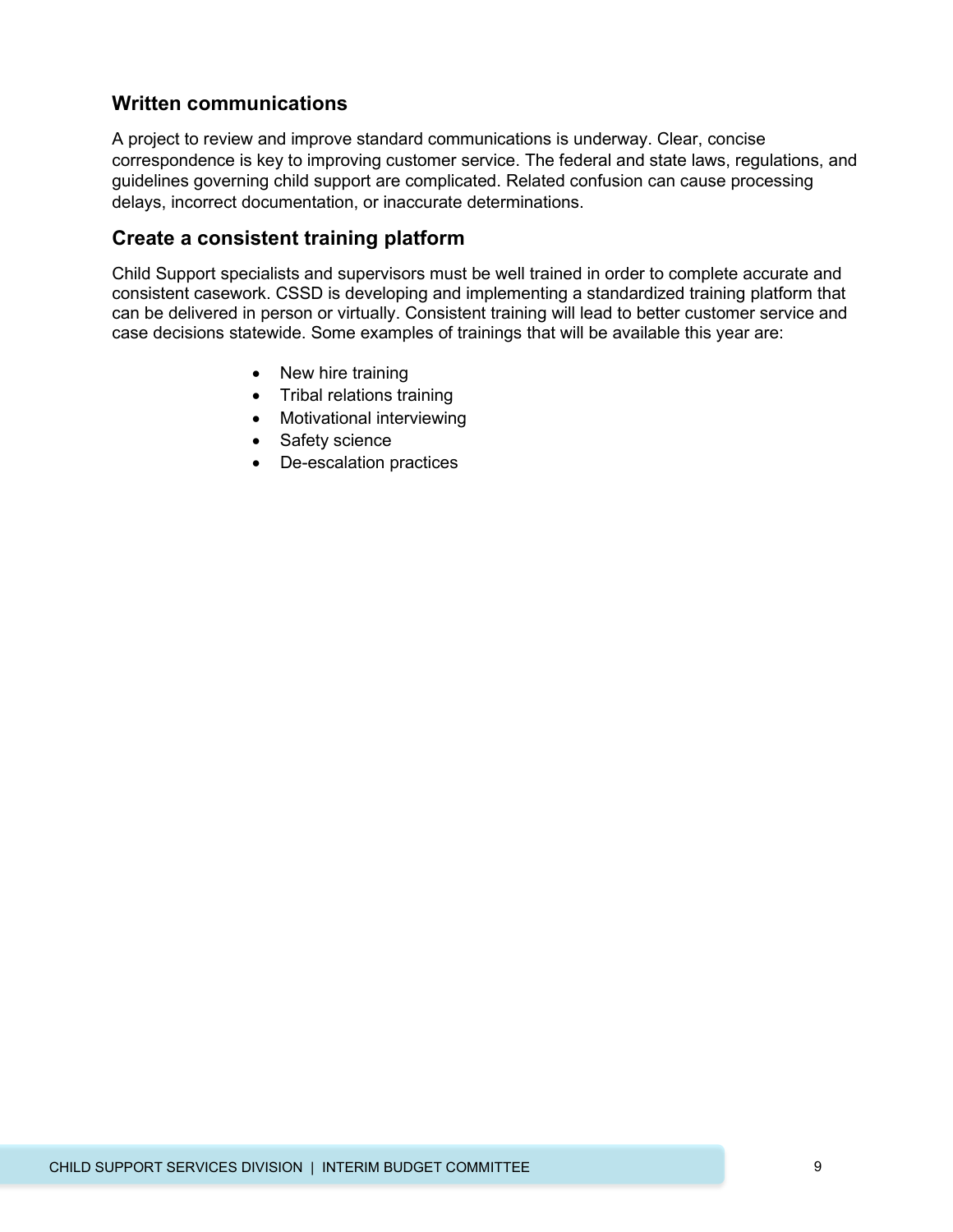#### **Written communications**

A project to review and improve standard communications is underway. Clear, concise correspondence is key to improving customer service. The federal and state laws, regulations, and guidelines governing child support are complicated. Related confusion can cause processing delays, incorrect documentation, or inaccurate determinations.

#### **Create a consistent training platform**

Child Support specialists and supervisors must be well trained in order to complete accurate and consistent casework. CSSD is developing and implementing a standardized training platform that can be delivered in person or virtually. Consistent training will lead to better customer service and case decisions statewide. Some examples of trainings that will be available this year are:

- New hire training
- Tribal relations training
- Motivational interviewing
- Safety science
- De-escalation practices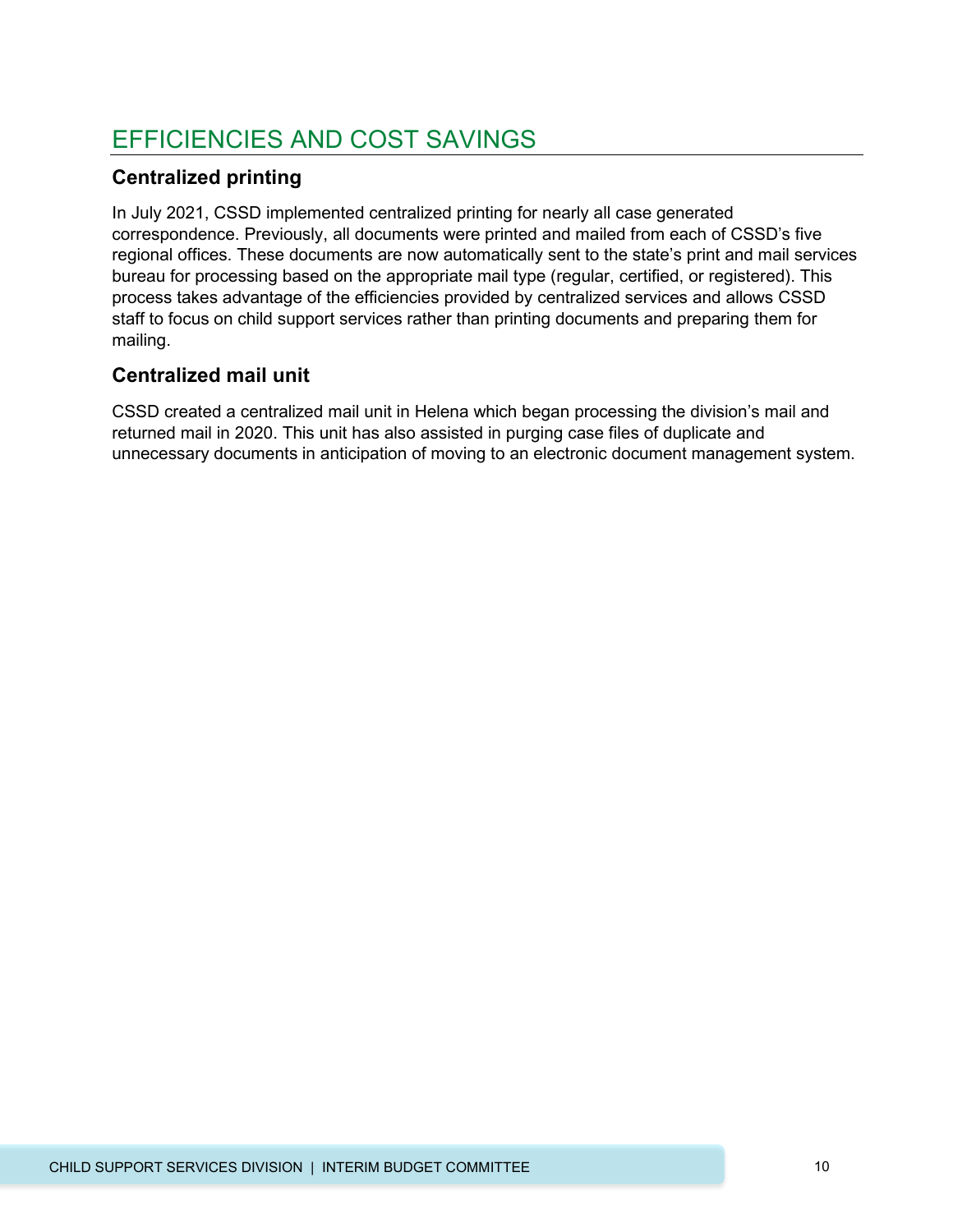# EFFICIENCIES AND COST SAVINGS

#### **Centralized printing**

In July 2021, CSSD implemented centralized printing for nearly all case generated correspondence. Previously, all documents were printed and mailed from each of CSSD's five regional offices. These documents are now automatically sent to the state's print and mail services bureau for processing based on the appropriate mail type (regular, certified, or registered). This process takes advantage of the efficiencies provided by centralized services and allows CSSD staff to focus on child support services rather than printing documents and preparing them for mailing.

#### **Centralized mail unit**

CSSD created a centralized mail unit in Helena which began processing the division's mail and returned mail in 2020. This unit has also assisted in purging case files of duplicate and unnecessary documents in anticipation of moving to an electronic document management system.